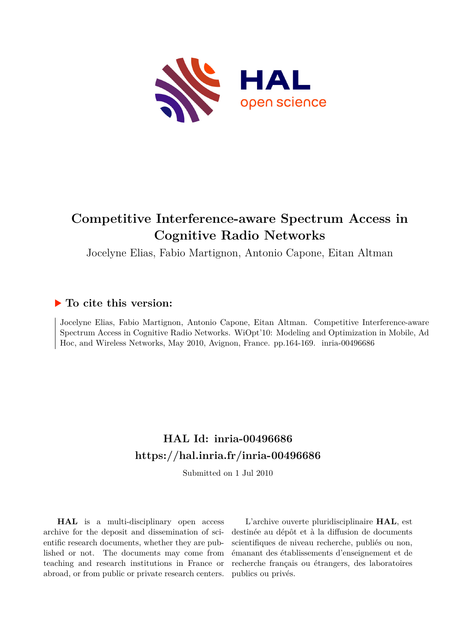

## **Competitive Interference-aware Spectrum Access in Cognitive Radio Networks**

Jocelyne Elias, Fabio Martignon, Antonio Capone, Eitan Altman

### **To cite this version:**

Jocelyne Elias, Fabio Martignon, Antonio Capone, Eitan Altman. Competitive Interference-aware Spectrum Access in Cognitive Radio Networks. WiOpt'10: Modeling and Optimization in Mobile, Ad Hoc, and Wireless Networks, May 2010, Avignon, France. pp.164-169. inria-00496686

## **HAL Id: inria-00496686 <https://hal.inria.fr/inria-00496686>**

Submitted on 1 Jul 2010

**HAL** is a multi-disciplinary open access archive for the deposit and dissemination of scientific research documents, whether they are published or not. The documents may come from teaching and research institutions in France or abroad, or from public or private research centers.

L'archive ouverte pluridisciplinaire **HAL**, est destinée au dépôt et à la diffusion de documents scientifiques de niveau recherche, publiés ou non, émanant des établissements d'enseignement et de recherche français ou étrangers, des laboratoires publics ou privés.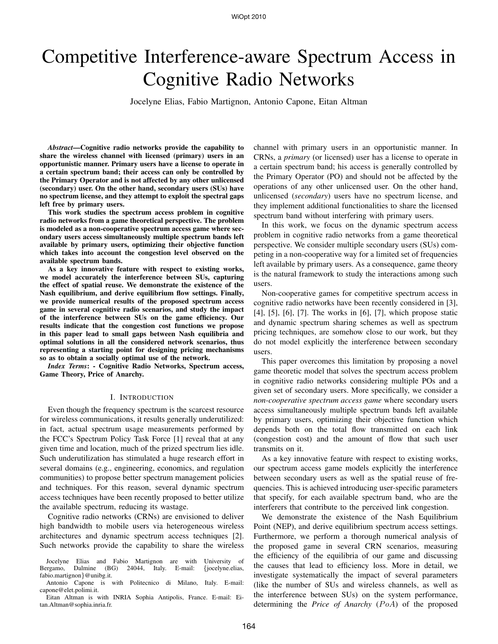# Competitive Interference-aware Spectrum Access in Cognitive Radio Networks

Jocelyne Elias, Fabio Martignon, Antonio Capone, Eitan Altman

*Abstract***—Cognitive radio networks provide the capability to share the wireless channel with licensed (primary) users in an opportunistic manner. Primary users have a license to operate in a certain spectrum band; their access can only be controlled by the Primary Operator and is not affected by any other unlicensed (secondary) user. On the other hand, secondary users (SUs) have no spectrum license, and they attempt to exploit the spectral gaps left free by primary users.**

**This work studies the spectrum access problem in cognitive radio networks from a game theoretical perspective. The problem is modeled as a non-cooperative spectrum access game where secondary users access simultaneously multiple spectrum bands left available by primary users, optimizing their objective function which takes into account the congestion level observed on the available spectrum bands.**

**As a key innovative feature with respect to existing works, we model accurately the interference between SUs, capturing the effect of spatial reuse. We demonstrate the existence of the Nash equilibrium, and derive equilibrium flow settings. Finally, we provide numerical results of the proposed spectrum access game in several cognitive radio scenarios, and study the impact of the interference between SUs on the game efficiency. Our results indicate that the congestion cost functions we propose in this paper lead to small gaps between Nash equilibria and optimal solutions in all the considered network scenarios, thus representing a starting point for designing pricing mechanisms so as to obtain a socially optimal use of the network.**

*Index Terms***: - Cognitive Radio Networks, Spectrum access, Game Theory, Price of Anarchy.**

#### I. INTRODUCTION

Even though the frequency spectrum is the scarcest resource for wireless communications, it results generally underutilized: in fact, actual spectrum usage measurements performed by the FCC's Spectrum Policy Task Force [1] reveal that at any given time and location, much of the prized spectrum lies idle. Such underutilization has stimulated a huge research effort in several domains (e.g., engineering, economics, and regulation communities) to propose better spectrum management policies and techniques. For this reason, several dynamic spectrum access techniques have been recently proposed to better utilize the available spectrum, reducing its wastage.

Cognitive radio networks (CRNs) are envisioned to deliver high bandwidth to mobile users via heterogeneous wireless architectures and dynamic spectrum access techniques [2]. Such networks provide the capability to share the wireless

Antonio Capone is with Politecnico di Milano, Italy. E-mail: capone@elet.polimi.it.

Eitan Altman is with INRIA Sophia Antipolis, France. E-mail: Eitan.Altman@sophia.inria.fr.

channel with primary users in an opportunistic manner. In CRNs, a *primary* (or licensed) user has a license to operate in a certain spectrum band; his access is generally controlled by the Primary Operator (PO) and should not be affected by the operations of any other unlicensed user. On the other hand, unlicensed (*secondary*) users have no spectrum license, and they implement additional functionalities to share the licensed spectrum band without interfering with primary users.

In this work, we focus on the dynamic spectrum access problem in cognitive radio networks from a game theoretical perspective. We consider multiple secondary users (SUs) competing in a non-cooperative way for a limited set of frequencies left available by primary users. As a consequence, game theory is the natural framework to study the interactions among such users.

Non-cooperative games for competitive spectrum access in cognitive radio networks have been recently considered in [3], [4], [5], [6], [7]. The works in [6], [7], which propose static and dynamic spectrum sharing schemes as well as spectrum pricing techniques, are somehow close to our work, but they do not model explicitly the interference between secondary users.

This paper overcomes this limitation by proposing a novel game theoretic model that solves the spectrum access problem in cognitive radio networks considering multiple POs and a given set of secondary users. More specifically, we consider a *non-cooperative spectrum access game* where secondary users access simultaneously multiple spectrum bands left available by primary users, optimizing their objective function which depends both on the total flow transmitted on each link (congestion cost) and the amount of flow that such user transmits on it.

As a key innovative feature with respect to existing works, our spectrum access game models explicitly the interference between secondary users as well as the spatial reuse of frequencies. This is achieved introducing user-specific parameters that specify, for each available spectrum band, who are the interferers that contribute to the perceived link congestion.

We demonstrate the existence of the Nash Equilibrium Point (NEP), and derive equilibrium spectrum access settings. Furthermore, we perform a thorough numerical analysis of the proposed game in several CRN scenarios, measuring the efficiency of the equilibria of our game and discussing the causes that lead to efficiency loss. More in detail, we investigate systematically the impact of several parameters (like the number of SUs and wireless channels, as well as the interference between SUs) on the system performance, determining the *Price of Anarchy* (PoA) of the proposed

Jocelyne Elias and Fabio Martignon are with University of Bergamo, Dalmine (BG) 24044, Italy. E-mail: {jocelyne.elias, fabio.martignon}@unibg.it.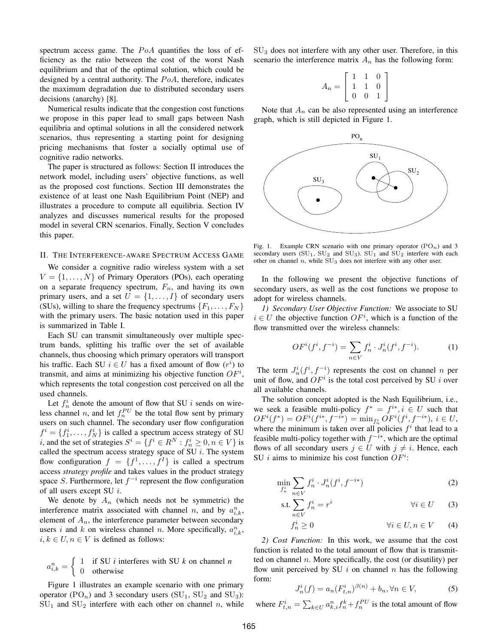spectrum access game. The  $PoA$  quantifies the loss of efficiency as the ratio between the cost of the worst Nash equilibrium and that of the optimal solution, which could be designed by a central authority. The  $PoA$ , therefore, indicates the maximum degradation due to distributed secondary users decisions (anarchy) [8].

Numerical results indicate that the congestion cost functions we propose in this paper lead to small gaps between Nash equilibria and optimal solutions in all the considered network scenarios, thus representing a starting point for designing pricing mechanisms that foster a socially optimal use of cognitive radio networks.

The paper is structured as follows: Section II introduces the network model, including users' objective functions, as well as the proposed cost functions. Section III demonstrates the existence of at least one Nash Equilibrium Point (NEP) and illustrates a procedure to compute all equilibria. Section IV analyzes and discusses numerical results for the proposed model in several CRN scenarios. Finally, Section V concludes this paper.

#### II. THE INTERFERENCE-AWARE SPECTRUM ACCESS GAME

We consider a cognitive radio wireless system with a set  $V = \{1, \ldots, N\}$  of Primary Operators (POs), each operating on a separate frequency spectrum,  $F_n$ , and having its own primary users, and a set  $U = \{1, \ldots, I\}$  of secondary users (SUs), willing to share the frequency spectrums  $\{F_1, \ldots, F_N\}$ with the primary users. The basic notation used in this paper is summarized in Table I.

Each SU can transmit simultaneously over multiple spectrum bands, splitting his traffic over the set of available channels, thus choosing which primary operators will transport his traffic. Each SU  $i \in U$  has a fixed amount of flow  $(r<sup>i</sup>)$  to transmit, and aims at minimizing his objective function  $OF^i$ , which represents the total congestion cost perceived on all the used channels.

Let  $f_n^i$  denote the amount of flow that SU i sends on wireless channel *n*, and let  $f_n^{PU}$  be the total flow sent by primary users on such channel. The secondary user flow configuration  $f^i = \{f_1^i, \dots, f_N^i\}$  is called a spectrum access strategy of SU *i*, and the set of strategies  $S^i = \{f^i \in R^N : f^i_n \geq 0, n \in V\}$  is called the spectrum access strategy space of SU  $i$ . The system flow configuration  $f = \{f^1, \ldots, f^I\}$  is called a spectrum access *strategy profile* and takes values in the product strategy space S. Furthermore, let  $f^{-i}$  represent the flow configuration of all users except SU  $i$ .

We denote by  $A_n$  (which needs not be symmetric) the interference matrix associated with channel *n*, and by  $a_{i,k}^n$ , element of  $A_n$ , the interference parameter between secondary users i and k on wireless channel n. More specifically,  $a_{i,k}^n$ ,  $i, k \in U, n \in V$  is defined as follows:

$$
a_{i,k}^n = \begin{cases} 1 & \text{if SU } i \text{ interferes with SU } k \text{ on channel } n \\ 0 & \text{otherwise} \end{cases}
$$

Figure 1 illustrates an example scenario with one primary operator  $(PO_n)$  and 3 secondary users  $(SU_1, SU_2)$  and  $SU_3)$ :  $SU_1$  and  $SU_2$  interfere with each other on channel n, while  $SU<sub>3</sub>$  does not interfere with any other user. Therefore, in this scenario the interference matrix  $A_n$  has the following form:

$$
A_n = \left[ \begin{array}{rrr} 1 & 1 & 0 \\ 1 & 1 & 0 \\ 0 & 0 & 1 \end{array} \right]
$$

Note that  $A_n$  can be also represented using an interference graph, which is still depicted in Figure 1.



Fig. 1. Example CRN scenario with one primary operator  $(PO<sub>n</sub>)$  and 3 secondary users  $(SU_1, SU_2$  and  $SU_3)$ .  $SU_1$  and  $SU_2$  interfere with each other on channel  $n$ , while  $SU<sub>3</sub>$  does not interfere with any other user.

In the following we present the objective functions of secondary users, as well as the cost functions we propose to adopt for wireless channels.

*1) Secondary User Objective Function:* We associate to SU  $i \in U$  the objective function  $OF<sup>i</sup>$ , which is a function of the flow transmitted over the wireless channels:

$$
OF^{i}(f^{i}, f^{-i}) = \sum_{n \in V} f^{i}_{n} \cdot J^{i}_{n}(f^{i}, f^{-i}).
$$
 (1)

The term  $J_n^i(f^i, f^{-i})$  represents the cost on channel n per unit of flow, and  $OF<sup>i</sup>$  is the total cost perceived by SU i over all available channels.

The solution concept adopted is the Nash Equilibrium, i.e., we seek a feasible multi-policy  $f^* = f^{i*}, i \in U$  such that  $OF<sup>i</sup>(f<sup>*</sup>) = OF<sup>i</sup>(f<sup>ix</sup>, f<sup>-ix</sup>) = \min_{f_n^i} OF<sup>i</sup>(f<sup>i</sup>, f<sup>-ix</sup>), i \in U,$ where the minimum is taken over all policies  $f^i$  that lead to a feasible multi-policy together with  $f^{-i*}$ , which are the optimal flows of all secondary users  $j \in U$  with  $j \neq i$ . Hence, each SU *i* aims to minimize his cost function  $OF^i$ :

$$
\min_{f_n^i} \sum_{n \in V} f_n^i \cdot J_n^i(f^i, f^{-i*})
$$
\n(2)

$$
\text{s.t.} \sum_{n \in V} f_n^i = r^i \qquad \qquad \forall i \in U \qquad (3)
$$

$$
f_n^i \ge 0 \qquad \qquad \forall i \in U, n \in V \qquad (4)
$$

*2) Cost Function:* In this work, we assume that the cost function is related to the total amount of flow that is transmitted on channel  $n$ . More specifically, the cost (or disutility) per flow unit perceived by SU  $i$  on channel  $n$  has the following form:

$$
J_n^i(f) = a_n (F_{t,n}^i)^{\beta(n)} + b_n, \forall n \in V,
$$
\n<sup>(5)</sup>

where  $F_{t,n}^i = \sum_{k \in U} a_{k,i}^n f_n^k + f_n^{PU}$  is the total amount of flow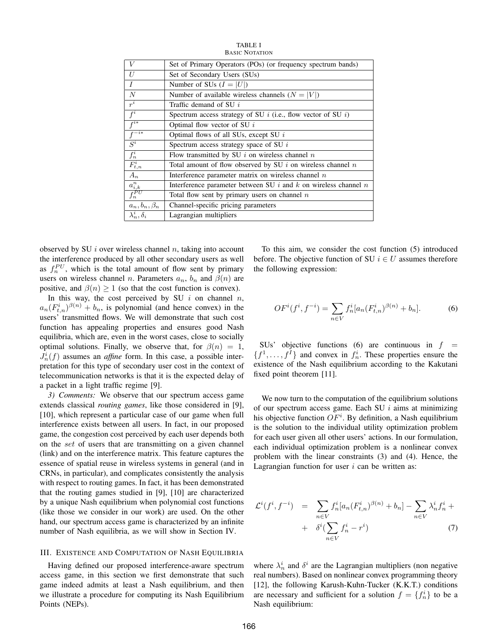| $\bar{V}$                    | Set of Primary Operators (POs) (or frequency spectrum bands)          |
|------------------------------|-----------------------------------------------------------------------|
| U                            | Set of Secondary Users (SUs)                                          |
| $\overline{I}$               | Number of SUs $(I =  U )$                                             |
| $\overline{N}$               | Number of available wireless channels $(N =  V )$                     |
| $\overline{r^i}$             | Traffic demand of SU $i$                                              |
| $\overline{f^i}$             | Spectrum access strategy of SU $i$ (i.e., flow vector of SU $i$ )     |
| $f^{i*}$                     | Optimal flow vector of SU $i$                                         |
| $\overline{f^{-i*}}$         | Optimal flows of all SUs, except SU $i$                               |
| $\overline{S^i}$             | Spectrum access strategy space of SU $i$                              |
| $f_n^i$                      | Flow transmitted by SU $i$ on wireless channel $n$                    |
| $F_{t,n}^i$                  | Total amount of flow observed by SU $i$ on wireless channel $n$       |
| $A_n$                        | Interference parameter matrix on wireless channel $n$                 |
| $\frac{a_{i,k}^n}{f_n^{PU}}$ | Interference parameter between SU $i$ and $k$ on wireless channel $n$ |
|                              | Total flow sent by primary users on channel $n$                       |
| $a_n, b_n, \beta_n$          | Channel-specific pricing parameters                                   |
| $\lambda_n^i, \delta_i$      | Lagrangian multipliers                                                |
|                              |                                                                       |

TABLE I BASIC NOTATION

observed by SU  $i$  over wireless channel  $n$ , taking into account the interference produced by all other secondary users as well as  $f_n^{PU}$ , which is the total amount of flow sent by primary users on wireless channel *n*. Parameters  $a_n$ ,  $b_n$  and  $\beta(n)$  are positive, and  $\beta(n) \geq 1$  (so that the cost function is convex).

In this way, the cost perceived by SU  $i$  on channel  $n$ ,  $a_n(F_{t,n}^i)^{\beta(n)} + b_n$ , is polynomial (and hence convex) in the users' transmitted flows. We will demonstrate that such cost function has appealing properties and ensures good Nash equilibria, which are, even in the worst cases, close to socially optimal solutions. Finally, we observe that, for  $\beta(n) = 1$ ,  $J_n^i(f)$  assumes an *affine* form. In this case, a possible interpretation for this type of secondary user cost in the context of telecommunication networks is that it is the expected delay of a packet in a light traffic regime [9].

*3) Comments:* We observe that our spectrum access game extends classical *routing games*, like those considered in [9], [10], which represent a particular case of our game when full interference exists between all users. In fact, in our proposed game, the congestion cost perceived by each user depends both on the set of users that are transmitting on a given channel (link) and on the interference matrix. This feature captures the essence of spatial reuse in wireless systems in general (and in CRNs, in particular), and complicates consistently the analysis with respect to routing games. In fact, it has been demonstrated that the routing games studied in [9], [10] are characterized by a unique Nash equilibrium when polynomial cost functions (like those we consider in our work) are used. On the other hand, our spectrum access game is characterized by an infinite number of Nash equilibria, as we will show in Section IV.

#### III. EXISTENCE AND COMPUTATION OF NASH EQUILIBRIA

Having defined our proposed interference-aware spectrum access game, in this section we first demonstrate that such game indeed admits at least a Nash equilibrium, and then we illustrate a procedure for computing its Nash Equilibrium Points (NEPs).

To this aim, we consider the cost function (5) introduced before. The objective function of SU  $i \in U$  assumes therefore the following expression:

$$
OF^{i}(f^{i}, f^{-i}) = \sum_{n \in V} f_{n}^{i}[a_{n}(F_{t,n}^{i})^{\beta(n)} + b_{n}].
$$
 (6)

SUs' objective functions (6) are continuous in  $f =$  $\{f^1, \ldots, f^I\}$  and convex in  $f^i_n$ . These properties ensure the existence of the Nash equilibrium according to the Kakutani fixed point theorem [11].

We now turn to the computation of the equilibrium solutions of our spectrum access game. Each SU  $i$  aims at minimizing his objective function  $OF^i$ . By definition, a Nash equilibrium is the solution to the individual utility optimization problem for each user given all other users' actions. In our formulation, each individual optimization problem is a nonlinear convex problem with the linear constraints (3) and (4). Hence, the Lagrangian function for user  $i$  can be written as:

$$
\mathcal{L}^{i}(f^{i}, f^{-i}) = \sum_{n \in V} f_{n}^{i}[a_{n}(F_{t,n}^{i})^{\beta(n)} + b_{n}] - \sum_{n \in V} \lambda_{n}^{i} f_{n}^{i} + \delta^{i}(\sum_{n \in V} f_{n}^{i} - r^{i})
$$
\n(7)

where  $\lambda_n^i$  and  $\delta^i$  are the Lagrangian multipliers (non negative real numbers). Based on nonlinear convex programming theory [12], the following Karush-Kuhn-Tucker (K.K.T.) conditions are necessary and sufficient for a solution  $f = \{f_n^i\}$  to be a Nash equilibrium: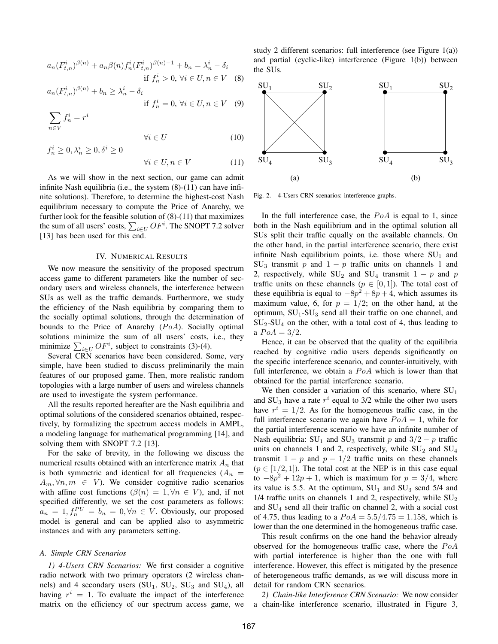$$
a_n(F_{t,n}^i)^{\beta(n)} + a_n\beta(n)f_n^i(F_{t,n}^i)^{\beta(n)-1} + b_n = \lambda_n^i - \delta_i
$$
  
if  $f_n^i > 0, \forall i \in U, n \in V$  (8)  

$$
a_n(F_{t,n}^i)^{\beta(n)} + b_n \ge \lambda_n^i - \delta_i
$$

$$
\sum_{n \in V} f_n^i = r^i
$$
 if  $f_n^i = 0, \forall i \in U, n \in V$  (9)

 $f_n^i \geq 0, \lambda_n^i \geq 0, \delta^i \geq 0$ 

$$
\forall i \in U \tag{10}
$$

$$
\forall i \in U, n \in V \tag{11}
$$

As we will show in the next section, our game can admit infinite Nash equilibria (i.e., the system (8)-(11) can have infinite solutions). Therefore, to determine the highest-cost Nash equilibrium necessary to compute the Price of Anarchy, we further look for the feasible solution of (8)-(11) that maximizes the sum of all users' costs,  $\sum_{i \in U} OF^i$ . The SNOPT 7.2 solver [13] has been used for this end.

#### IV. NUMERICAL RESULTS

We now measure the sensitivity of the proposed spectrum access game to different parameters like the number of secondary users and wireless channels, the interference between SUs as well as the traffic demands. Furthermore, we study the efficiency of the Nash equilibria by comparing them to the socially optimal solutions, through the determination of bounds to the Price of Anarchy  $(P_0A)$ . Socially optimal solutions minimize the sum of all users' costs, i.e., they minimize  $\sum_{i \in U} OF^i$ , subject to constraints (3)-(4).

Several CRN scenarios have been considered. Some, very simple, have been studied to discuss preliminarily the main features of our proposed game. Then, more realistic random topologies with a large number of users and wireless channels are used to investigate the system performance.

All the results reported hereafter are the Nash equilibria and optimal solutions of the considered scenarios obtained, respectively, by formalizing the spectrum access models in AMPL, a modeling language for mathematical programming [14], and solving them with SNOPT 7.2 [13].

For the sake of brevity, in the following we discuss the numerical results obtained with an interference matrix  $A_n$  that is both symmetric and identical for all frequencies  $(A_n =$  $A_m, \forall n, m \in V$ ). We consider cognitive radio scenarios with affine cost functions  $(\beta(n) = 1, \forall n \in V)$ , and, if not specified differently, we set the cost parameters as follows:  $a_n = 1, f_n^{PU} = b_n = 0, \forall n \in V$ . Obviously, our proposed model is general and can be applied also to asymmetric instances and with any parameters setting.

#### *A. Simple CRN Scenarios*

*1) 4-Users CRN Scenarios:* We first consider a cognitive radio network with two primary operators (2 wireless channels) and 4 secondary users  $(SU_1, SU_2, SU_3)$  and  $SU_4$ ), all having  $r^i = 1$ . To evaluate the impact of the interference matrix on the efficiency of our spectrum access game, we study 2 different scenarios: full interference (see Figure 1(a)) and partial (cyclic-like) interference (Figure 1(b)) between the SUs.



Fig. 2. 4-Users CRN scenarios: interference graphs.

In the full interference case, the  $PoA$  is equal to 1, since both in the Nash equilibrium and in the optimal solution all SUs split their traffic equally on the available channels. On the other hand, in the partial interference scenario, there exist infinite Nash equilibrium points, i.e. those where  $SU<sub>1</sub>$  and  $SU_3$  transmit p and  $1 - p$  traffic units on channels 1 and 2, respectively, while  $SU_2$  and  $SU_4$  transmit  $1 - p$  and p traffic units on these channels ( $p \in [0,1]$ ). The total cost of these equilibria is equal to  $-8p^2 + 8p + 4$ , which assumes its maximum value, 6, for  $p = 1/2$ ; on the other hand, at the optimum,  $SU_1$ - $SU_3$  send all their traffic on one channel, and  $SU_2$ -SU<sub>4</sub> on the other, with a total cost of 4, thus leading to a  $PoA = 3/2$ .

Hence, it can be observed that the quality of the equilibria reached by cognitive radio users depends significantly on the specific interference scenario, and counter-intuitively, with full interference, we obtain a  $PoA$  which is lower than that obtained for the partial interference scenario.

We then consider a variation of this scenario, where  $SU_1$ and  $SU_3$  have a rate  $r^i$  equal to 3/2 while the other two users have  $r^i = 1/2$ . As for the homogeneous traffic case, in the full interference scenario we again have  $PoA = 1$ , while for the partial interference scenario we have an infinite number of Nash equilibria:  $SU_1$  and  $SU_3$  transmit p and  $3/2 - p$  traffic units on channels 1 and 2, respectively, while  $SU_2$  and  $SU_4$ transmit  $1 - p$  and  $p - 1/2$  traffic units on these channels  $(p \in [1/2, 1])$ . The total cost at the NEP is in this case equal to  $-8p^2 + 12p + 1$ , which is maximum for  $p = 3/4$ , where its value is 5.5. At the optimum,  $SU_1$  and  $SU_3$  send 5/4 and  $1/4$  traffic units on channels 1 and 2, respectively, while  $SU<sub>2</sub>$ and SU<sup>4</sup> send all their traffic on channel 2, with a social cost of 4.75, thus leading to a  $PoA = 5.5/4.75 = 1.158$ , which is lower than the one determined in the homogeneous traffic case.

This result confirms on the one hand the behavior already observed for the homogeneous traffic case, where the  $PoA$ with partial interference is higher than the one with full interference. However, this effect is mitigated by the presence of heterogeneous traffic demands, as we will discuss more in detail for random CRN scenarios.

*2) Chain-like Interference CRN Scenario:* We now consider a chain-like interference scenario, illustrated in Figure 3,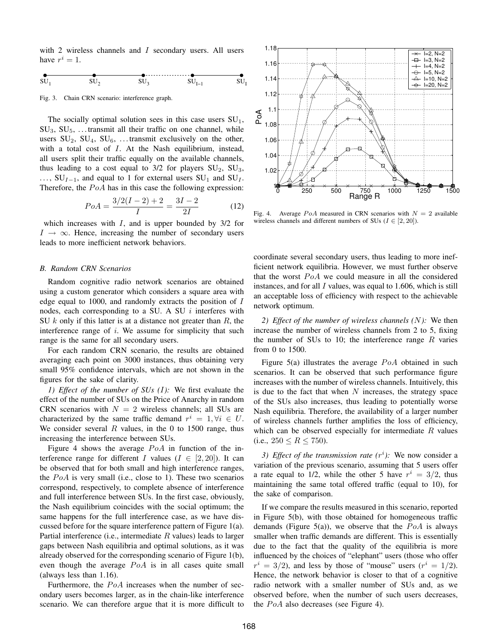with 2 wireless channels and  $I$  secondary users. All users have  $r^i = 1$ .

$$
\begin{array}{ccccc}\n\bullet & \bullet & \bullet & \bullet & \bullet \\
\text{SU}_1 & & \text{SU}_2 & & \text{SU}_3 & & \text{SU}_{I-1} & & \text{SU}_I\n\end{array}
$$

Fig. 3. Chain CRN scenario: interference graph.

The socially optimal solution sees in this case users  $SU_1$ ,  $SU_3$ ,  $SU_5$ , ...transmit all their traffic on one channel, while users  $SU_2$ ,  $SU_4$ ,  $SU_6$ , ...transmit exclusively on the other, with a total cost of  $I$ . At the Nash equilibrium, instead, all users split their traffic equally on the available channels, thus leading to a cost equal to  $3/2$  for players  $SU_2$ ,  $SU_3$ ,  $\ldots$ , SU<sub>I-1</sub>, and equal to 1 for external users SU<sub>1</sub> and SU<sub>I</sub>. Therefore, the  $PoA$  has in this case the following expression:

$$
PoA = \frac{3/2(I-2) + 2}{I} = \frac{3I - 2}{2I} \tag{12}
$$

which increases with  $I$ , and is upper bounded by  $3/2$  for  $I \rightarrow \infty$ . Hence, increasing the number of secondary users leads to more inefficient network behaviors.

#### *B. Random CRN Scenarios*

Random cognitive radio network scenarios are obtained using a custom generator which considers a square area with edge equal to 1000, and randomly extracts the position of I nodes, each corresponding to a SU. A SU  $i$  interferes with SU  $k$  only if this latter is at a distance not greater than  $R$ , the interference range of  $i$ . We assume for simplicity that such range is the same for all secondary users.

For each random CRN scenario, the results are obtained averaging each point on 3000 instances, thus obtaining very small 95% confidence intervals, which are not shown in the figures for the sake of clarity.

*1) Effect of the number of SUs (*I*):* We first evaluate the effect of the number of SUs on the Price of Anarchy in random CRN scenarios with  $N = 2$  wireless channels; all SUs are characterized by the same traffic demand  $r^i = 1, \forall i \in U$ . We consider several  $R$  values, in the 0 to 1500 range, thus increasing the interference between SUs.

Figure 4 shows the average  $PoA$  in function of the interference range for different I values ( $I \in [2, 20]$ ). It can be observed that for both small and high interference ranges, the  $PoA$  is very small (i.e., close to 1). These two scenarios correspond, respectively, to complete absence of interference and full interference between SUs. In the first case, obviously, the Nash equilibrium coincides with the social optimum; the same happens for the full interference case, as we have discussed before for the square interference pattern of Figure 1(a). Partial interference (i.e., intermediate  $R$  values) leads to larger gaps between Nash equilibria and optimal solutions, as it was already observed for the corresponding scenario of Figure 1(b), even though the average  $PoA$  is in all cases quite small (always less than 1.16).

Furthermore, the  $PoA$  increases when the number of secondary users becomes larger, as in the chain-like interference scenario. We can therefore argue that it is more difficult to



Fig. 4. Average  $PoA$  measured in CRN scenarios with  $N = 2$  available wireless channels and different numbers of SUs ( $I \in [2, 20]$ ).

coordinate several secondary users, thus leading to more inefficient network equilibria. However, we must further observe that the worst  $PoA$  we could measure in all the considered instances, and for all  $I$  values, was equal to 1.606, which is still an acceptable loss of efficiency with respect to the achievable network optimum.

*2) Effect of the number of wireless channels (*N*):* We then increase the number of wireless channels from 2 to 5, fixing the number of SUs to 10; the interference range  $R$  varies from 0 to 1500.

Figure 5(a) illustrates the average  $PoA$  obtained in such scenarios. It can be observed that such performance figure increases with the number of wireless channels. Intuitively, this is due to the fact that when  $N$  increases, the strategy space of the SUs also increases, thus leading to potentially worse Nash equilibria. Therefore, the availability of a larger number of wireless channels further amplifies the loss of efficiency, which can be observed especially for intermediate  $R$  values (i.e.,  $250 \le R \le 750$ ).

3) *Effect of the transmission rate*  $(r<sup>i</sup>)$ : We now consider a variation of the previous scenario, assuming that 5 users offer a rate equal to 1/2, while the other 5 have  $r^i = 3/2$ , thus maintaining the same total offered traffic (equal to 10), for the sake of comparison.

If we compare the results measured in this scenario, reported in Figure 5(b), with those obtained for homogeneous traffic demands (Figure 5(a)), we observe that the  $PoA$  is always smaller when traffic demands are different. This is essentially due to the fact that the quality of the equilibria is more influenced by the choices of "elephant" users (those who offer  $r^i = 3/2$ ), and less by those of "mouse" users  $(r^i = 1/2)$ . Hence, the network behavior is closer to that of a cognitive radio network with a smaller number of SUs and, as we observed before, when the number of such users decreases, the  $PoA$  also decreases (see Figure 4).